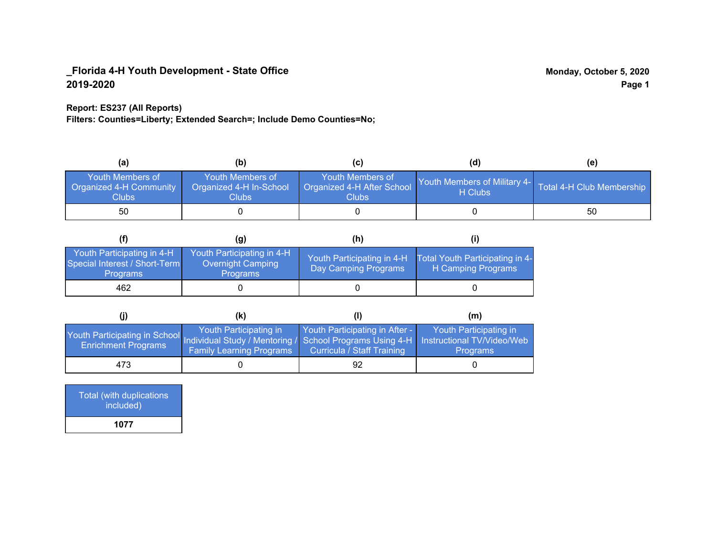#### **Report: ES237 (All Reports)**

**Filters: Counties=Liberty; Extended Search=; Include Demo Counties=No;**

| (a)                                                                | (b)                                                  |                                                         | (d)                                     | (e)                       |
|--------------------------------------------------------------------|------------------------------------------------------|---------------------------------------------------------|-----------------------------------------|---------------------------|
| <b>Youth Members of</b><br><b>Organized 4-H Community</b><br>Clubs | Youth Members of<br>Organized 4-H In-School<br>Clubs | Youth Members of<br>Organized 4-H After School<br>Clubs | Youth Members of Military 4-<br>H Clubs | Total 4-H Club Membership |
| 50                                                                 |                                                      |                                                         |                                         | 50                        |

|                                                                                | (g)                                                                | (h)                                                |                                                       |
|--------------------------------------------------------------------------------|--------------------------------------------------------------------|----------------------------------------------------|-------------------------------------------------------|
| Youth Participating in 4-H<br>Special Interest / Short-Term<br><b>Programs</b> | Youth Participating in 4-H<br>Overnight Camping<br><b>Programs</b> | Youth Participating in 4-H<br>Day Camping Programs | Total Youth Participating in 4-<br>H Camping Programs |
| 462                                                                            |                                                                    |                                                    |                                                       |

|                                                                                                                                                   | (K)                                                       |                                                                     | (m)                                       |
|---------------------------------------------------------------------------------------------------------------------------------------------------|-----------------------------------------------------------|---------------------------------------------------------------------|-------------------------------------------|
| Youth Participating in School Individual Study / Mentoring / School Programs Using 4-H   Instructional TV/Video/Web<br><b>Enrichment Programs</b> | Youth Participating in<br><b>Family Learning Programs</b> | Youth Participating in After -<br><b>Curricula / Staff Training</b> | Youth Participating in<br><b>Programs</b> |
| 473                                                                                                                                               |                                                           | 92                                                                  |                                           |

| Total (with duplications<br>included) |
|---------------------------------------|
| 1077                                  |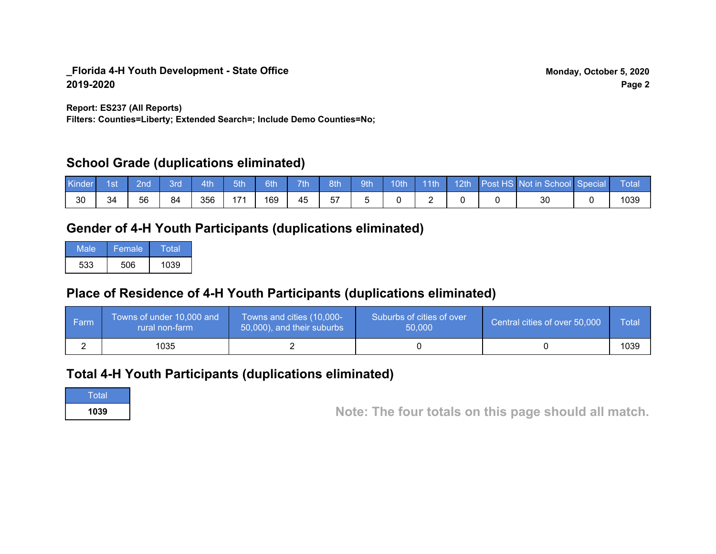**Report: ES237 (All Reports)**

**Filters: Counties=Liberty; Extended Search=; Include Demo Counties=No;**

# **School Grade (duplications eliminated)**

| Kinder | 1st | ?nd | 3rd | 4th | 5th | 6th | 7th | 8th | 9th | 10th | $\sqrt{11}$ | 12th | Post HS Not in School Special | Total |
|--------|-----|-----|-----|-----|-----|-----|-----|-----|-----|------|-------------|------|-------------------------------|-------|
| -30    | 34  | 56  | 84  | 356 | 171 | 169 | 45  | 57  |     |      |             |      | ЗС                            | 1039  |

# **Gender of 4-H Youth Participants (duplications eliminated)**

| Male | Female | Total |
|------|--------|-------|
| 533  | 506    | 1039  |

# **Place of Residence of 4-H Youth Participants (duplications eliminated)**

| <b>Farm</b> | Towns of under 10,000 and<br>rural non-farm | Towns and cities (10,000-<br>50,000), and their suburbs | Suburbs of cities of over<br>50,000 | Central cities of over 50,000 | Total |
|-------------|---------------------------------------------|---------------------------------------------------------|-------------------------------------|-------------------------------|-------|
|             | 1035                                        |                                                         |                                     |                               | 1039  |

## **Total 4-H Youth Participants (duplications eliminated)**

**Total** 

**<sup>1039</sup> Note: The four totals on this page should all match.**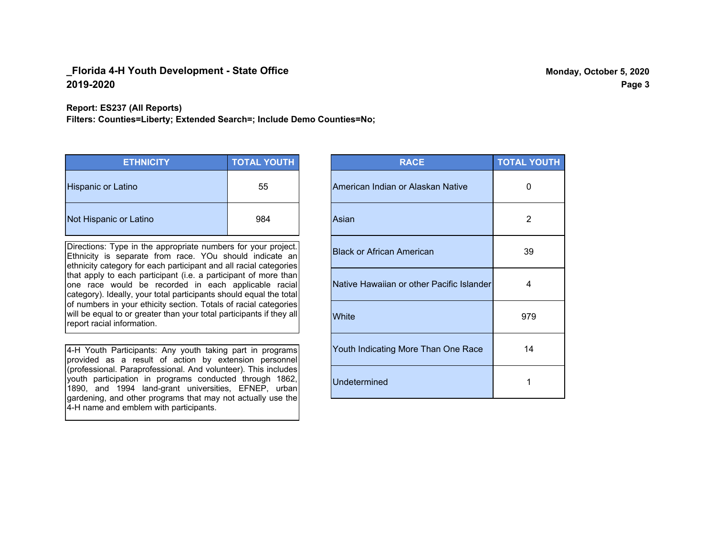#### **Report: ES237 (All Reports)**

**Filters: Counties=Liberty; Extended Search=; Include Demo Counties=No;**

| <b>ETHNICITY</b>          | <b>TOTAL YOUTH</b> |
|---------------------------|--------------------|
| <b>Hispanic or Latino</b> | 55                 |
| Not Hispanic or Latino    | 984                |

Directions: Type in the appropriate numbers for your project. Ethnicity is separate from race. YOu should indicate an ethnicity category for each participant and all racial categories that apply to each participant (i.e. a participant of more than one race would be recorded in each applicable racial category). Ideally, your total participants should equal the total of numbers in your ethicity section. Totals of racial categories will be equal to or greater than your total participants if they all report racial information.

4-H Youth Participants: Any youth taking part in programs provided as a result of action by extension personnel (professional. Paraprofessional. And volunteer). This includes youth participation in programs conducted through 1862, 1890, and 1994 land-grant universities, EFNEP, urban gardening, and other programs that may not actually use the 4-H name and emblem with participants.

| <b>RACE</b>                               | <b>TOTAL YOUTH</b> |
|-------------------------------------------|--------------------|
| American Indian or Alaskan Native         | 0                  |
| Asian                                     | 2                  |
| <b>Black or African American</b>          | 39                 |
| Native Hawaiian or other Pacific Islander | 4                  |
| White                                     | 979                |
| Youth Indicating More Than One Race       | 14                 |
| <b>Undetermined</b>                       | 1                  |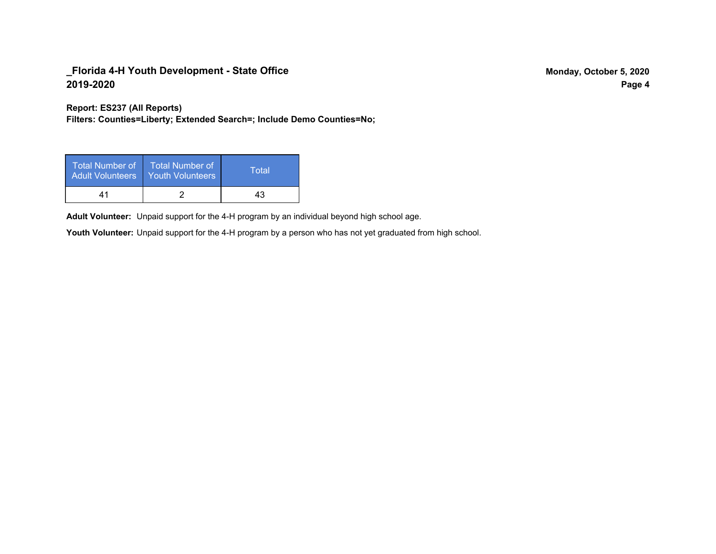**Report: ES237 (All Reports)**

**Filters: Counties=Liberty; Extended Search=; Include Demo Counties=No;**

| Total Number of<br><b>Adult Volunteers</b> | ا Total Number of<br><b>Youth Volunteers</b> | Total |
|--------------------------------------------|----------------------------------------------|-------|
| 41                                         |                                              | 43    |

Adult Volunteer: Unpaid support for the 4-H program by an individual beyond high school age.

Youth Volunteer: Unpaid support for the 4-H program by a person who has not yet graduated from high school.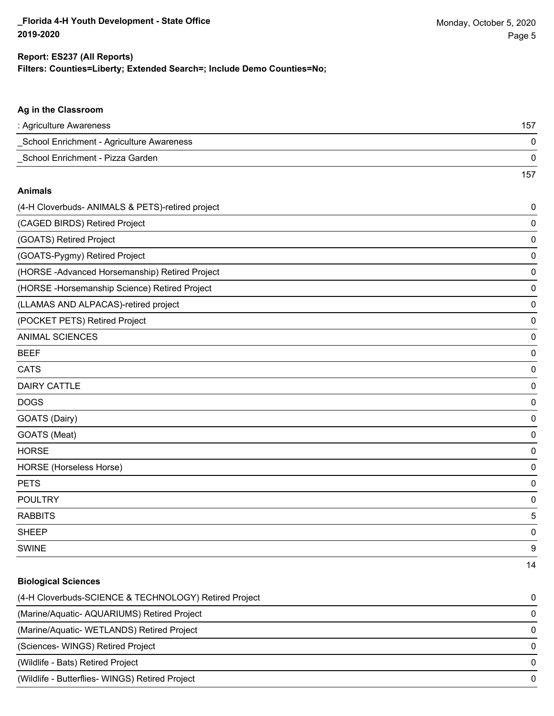## **Filters: Counties=Liberty; Extended Search=; Include Demo Counties=No; Report: ES237 (All Reports)**

157

#### **Ag in the Classroom**

| : Agriculture Awareness                   | 157 |
|-------------------------------------------|-----|
| School Enrichment - Agriculture Awareness |     |
| School Enrichment - Pizza Garden          |     |

#### **Animals**

| (4-H Cloverbuds- ANIMALS & PETS)-retired project | 0           |
|--------------------------------------------------|-------------|
| (CAGED BIRDS) Retired Project                    | 0           |
| (GOATS) Retired Project                          | 0           |
| (GOATS-Pygmy) Retired Project                    | 0           |
| (HORSE-Advanced Horsemanship) Retired Project    | 0           |
| (HORSE - Horsemanship Science) Retired Project   | 0           |
| (LLAMAS AND ALPACAS)-retired project             | 0           |
| (POCKET PETS) Retired Project                    | 0           |
| <b>ANIMAL SCIENCES</b>                           | $\mathbf 0$ |
| <b>BEEF</b>                                      | 0           |
| <b>CATS</b>                                      | 0           |
| <b>DAIRY CATTLE</b>                              | 0           |
| <b>DOGS</b>                                      | 0           |
| GOATS (Dairy)                                    | 0           |
| GOATS (Meat)                                     | 0           |
| <b>HORSE</b>                                     | 0           |
| HORSE (Horseless Horse)                          | 0           |
| <b>PETS</b>                                      | 0           |
| <b>POULTRY</b>                                   | 0           |
| <b>RABBITS</b>                                   | 5           |
| <b>SHEEP</b>                                     | 0           |
| <b>SWINE</b>                                     | 9           |
|                                                  | 14          |

#### **Biological Sciences**

| (4-H Cloverbuds-SCIENCE & TECHNOLOGY) Retired Project | 0        |
|-------------------------------------------------------|----------|
| (Marine/Aquatic-AQUARIUMS) Retired Project            | $\Omega$ |
| (Marine/Aquatic-WETLANDS) Retired Project             | $\Omega$ |
| (Sciences-WINGS) Retired Project                      | 0        |
| (Wildlife - Bats) Retired Project                     | 0        |
| (Wildlife - Butterflies- WINGS) Retired Project       | 0        |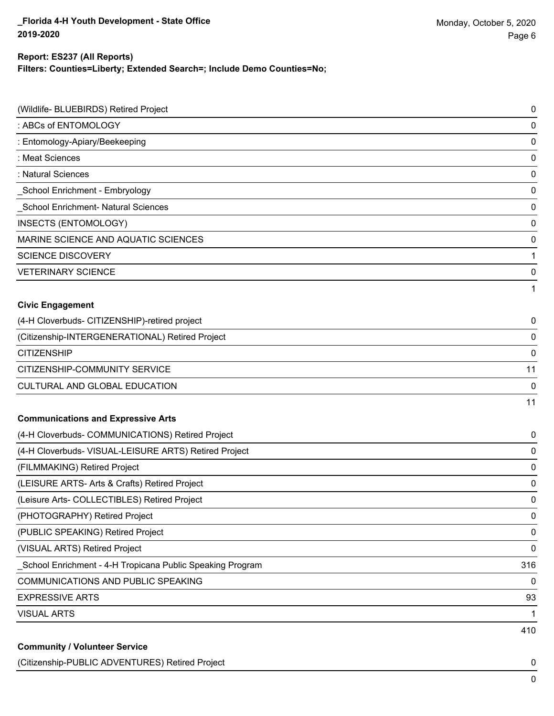#### **Filters: Counties=Liberty; Extended Search=; Include Demo Counties=No; Report: ES237 (All Reports)**

| (Wildlife- BLUEBIRDS) Retired Project                      | 0   |
|------------------------------------------------------------|-----|
| : ABCs of ENTOMOLOGY                                       | 0   |
| : Entomology-Apiary/Beekeeping                             | 0   |
| : Meat Sciences                                            | 0   |
| : Natural Sciences                                         | 0   |
| _School Enrichment - Embryology                            | 0   |
| School Enrichment- Natural Sciences                        | 0   |
| <b>INSECTS (ENTOMOLOGY)</b>                                | 0   |
| MARINE SCIENCE AND AQUATIC SCIENCES                        | 0   |
| <b>SCIENCE DISCOVERY</b>                                   | 1   |
| <b>VETERINARY SCIENCE</b>                                  | 0   |
|                                                            | 1   |
| <b>Civic Engagement</b>                                    |     |
| (4-H Cloverbuds- CITIZENSHIP)-retired project              | 0   |
| (Citizenship-INTERGENERATIONAL) Retired Project            | 0   |
| <b>CITIZENSHIP</b>                                         | 0   |
| CITIZENSHIP-COMMUNITY SERVICE                              | 11  |
| CULTURAL AND GLOBAL EDUCATION                              | 0   |
|                                                            | 11  |
| <b>Communications and Expressive Arts</b>                  |     |
| (4-H Cloverbuds- COMMUNICATIONS) Retired Project           | 0   |
| (4-H Cloverbuds- VISUAL-LEISURE ARTS) Retired Project      | 0   |
| (FILMMAKING) Retired Project                               | 0   |
| (LEISURE ARTS- Arts & Crafts) Retired Project              | 0   |
| (Leisure Arts- COLLECTIBLES) Retired Project               | 0   |
| (PHOTOGRAPHY) Retired Project                              | 0   |
| (PUBLIC SPEAKING) Retired Project                          | 0   |
| (VISUAL ARTS) Retired Project                              | 0   |
| _School Enrichment - 4-H Tropicana Public Speaking Program | 316 |
| COMMUNICATIONS AND PUBLIC SPEAKING                         | 0   |
| <b>EXPRESSIVE ARTS</b>                                     | 93  |
| <b>VISUAL ARTS</b>                                         | 1   |
| <b>Community / Volunteer Service</b>                       | 410 |

(Citizenship-PUBLIC ADVENTURES) Retired Project 0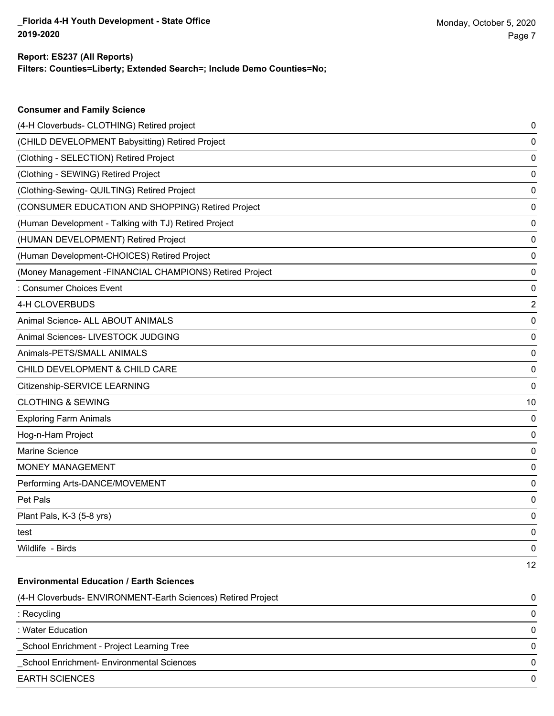**Consumer and Family Science**

#### **Filters: Counties=Liberty; Extended Search=; Include Demo Counties=No; Report: ES237 (All Reports)**

| (4-H Cloverbuds- CLOTHING) Retired project                   | 0  |
|--------------------------------------------------------------|----|
| (CHILD DEVELOPMENT Babysitting) Retired Project              | 0  |
| (Clothing - SELECTION) Retired Project                       | 0  |
| (Clothing - SEWING) Retired Project                          | 0  |
| (Clothing-Sewing- QUILTING) Retired Project                  | 0  |
| (CONSUMER EDUCATION AND SHOPPING) Retired Project            | 0  |
| (Human Development - Talking with TJ) Retired Project        | 0  |
| (HUMAN DEVELOPMENT) Retired Project                          | 0  |
| (Human Development-CHOICES) Retired Project                  | 0  |
| (Money Management -FINANCIAL CHAMPIONS) Retired Project      | 0  |
| : Consumer Choices Event                                     | 0  |
| 4-H CLOVERBUDS                                               | 2  |
| Animal Science- ALL ABOUT ANIMALS                            | 0  |
| Animal Sciences- LIVESTOCK JUDGING                           | 0  |
| Animals-PETS/SMALL ANIMALS                                   | 0  |
| CHILD DEVELOPMENT & CHILD CARE                               | 0  |
| Citizenship-SERVICE LEARNING                                 | 0  |
| <b>CLOTHING &amp; SEWING</b>                                 | 10 |
| <b>Exploring Farm Animals</b>                                | 0  |
| Hog-n-Ham Project                                            | 0  |
| Marine Science                                               | 0  |
| <b>MONEY MANAGEMENT</b>                                      | 0  |
| Performing Arts-DANCE/MOVEMENT                               | 0  |
| Pet Pals                                                     | 0  |
| Plant Pals, K-3 (5-8 yrs)                                    | 0  |
| test                                                         | 0  |
| Wildlife - Birds                                             | 0  |
|                                                              | 12 |
| <b>Environmental Education / Earth Sciences</b>              |    |
| (4-H Cloverbuds- ENVIRONMENT-Earth Sciences) Retired Project | 0  |
| : Recycling                                                  | 0  |
| : Water Education                                            | 0  |
| School Enrichment - Project Learning Tree                    | 0  |
| School Enrichment- Environmental Sciences                    | 0  |
| <b>EARTH SCIENCES</b>                                        | 0  |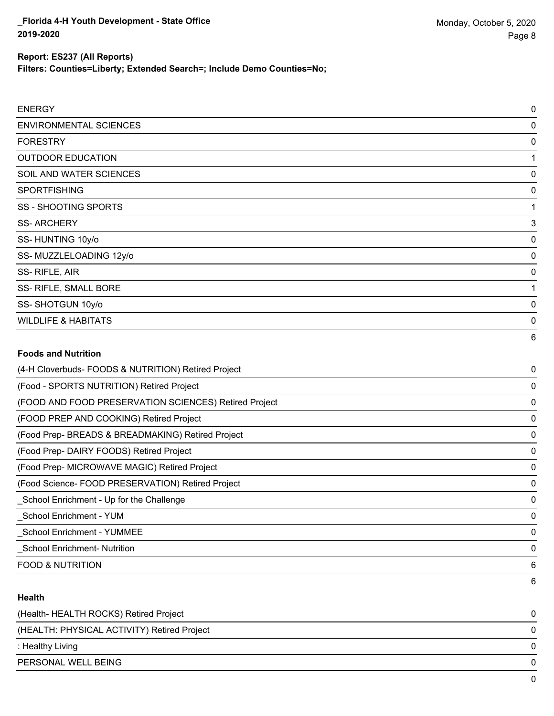**Filters: Counties=Liberty; Extended Search=; Include Demo Counties=No;**

| <b>ENERGY</b>                                         | 0         |
|-------------------------------------------------------|-----------|
| <b>ENVIRONMENTAL SCIENCES</b>                         | 0         |
| <b>FORESTRY</b>                                       | 0         |
| <b>OUTDOOR EDUCATION</b>                              |           |
| SOIL AND WATER SCIENCES                               | 0         |
| <b>SPORTFISHING</b>                                   | 0         |
| <b>SS - SHOOTING SPORTS</b>                           |           |
| <b>SS-ARCHERY</b>                                     | 3         |
| SS-HUNTING 10y/o                                      | 0         |
| SS-MUZZLELOADING 12y/o                                | $\Omega$  |
| SS-RIFLE, AIR                                         | 0         |
| SS- RIFLE, SMALL BORE                                 |           |
| SS-SHOTGUN 10y/o                                      | 0         |
| <b>WILDLIFE &amp; HABITATS</b>                        | 0         |
|                                                       | 6         |
| <b>Foods and Nutrition</b>                            |           |
| (4-H Cloverbuds- FOODS & NUTRITION) Retired Project   | 0         |
| (Food - SPORTS NUTRITION) Retired Project             | $\pmb{0}$ |
| (FOOD AND FOOD PRESERVATION SCIENCES) Retired Project | 0         |
| (FOOD PREP AND COOKING) Retired Project               | 0         |
| (Food Prep- BREADS & BREADMAKING) Retired Project     | 0         |
|                                                       |           |

(Food Prep- DAIRY FOODS) Retired Project 0

(Food Prep- MICROWAVE MAGIC) Retired Project 0

(Food Science- FOOD PRESERVATION) Retired Project 0 \_School Enrichment - Up for the Challenge 0

\_School Enrichment - YUM 0 \_School Enrichment - YUMMEE 0

\_School Enrichment- Nutrition 0

FOOD & NUTRITION 6

#### **Health**

| (Health-HEALTH ROCKS) Retired Project       |              |
|---------------------------------------------|--------------|
| (HEALTH: PHYSICAL ACTIVITY) Retired Project |              |
| : Healthy Living                            |              |
| PERSONAL WELL BEING                         | <sup>n</sup> |
|                                             |              |

6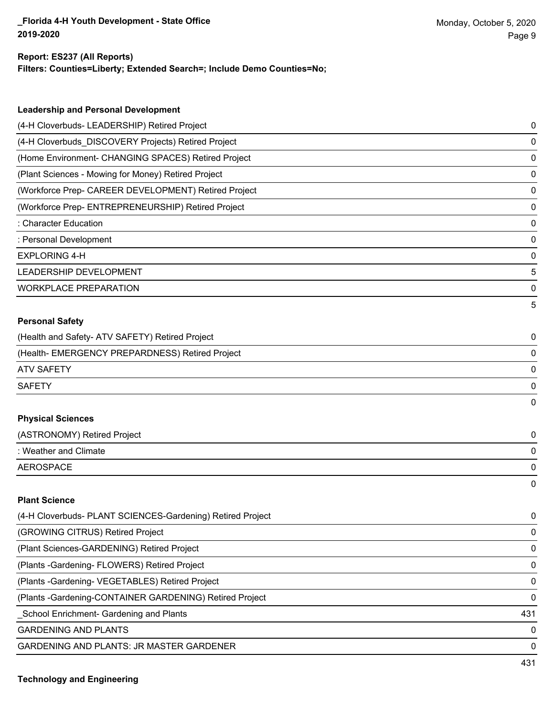# **Report: ES237 (All Reports)**

| Filters: Counties=Liberty; Extended Search=; Include Demo Counties=No; |
|------------------------------------------------------------------------|
|                                                                        |

| <b>Leadership and Personal Development</b>                 |             |
|------------------------------------------------------------|-------------|
| (4-H Cloverbuds- LEADERSHIP) Retired Project               | 0           |
| (4-H Cloverbuds_DISCOVERY Projects) Retired Project        | 0           |
| (Home Environment- CHANGING SPACES) Retired Project        | 0           |
| (Plant Sciences - Mowing for Money) Retired Project        | 0           |
| (Workforce Prep- CAREER DEVELOPMENT) Retired Project       | $\mathbf 0$ |
| (Workforce Prep- ENTREPRENEURSHIP) Retired Project         | 0           |
| : Character Education                                      | $\mathbf 0$ |
| : Personal Development                                     | $\mathbf 0$ |
| <b>EXPLORING 4-H</b>                                       | 0           |
| LEADERSHIP DEVELOPMENT                                     | 5           |
| <b>WORKPLACE PREPARATION</b>                               | 0           |
|                                                            | 5           |
| <b>Personal Safety</b>                                     |             |
| (Health and Safety- ATV SAFETY) Retired Project            | 0           |
| (Health- EMERGENCY PREPARDNESS) Retired Project            | 0           |
| <b>ATV SAFETY</b>                                          | 0           |
| <b>SAFETY</b>                                              | 0           |
|                                                            | $\Omega$    |
| <b>Physical Sciences</b>                                   |             |
| (ASTRONOMY) Retired Project                                | 0           |
| : Weather and Climate                                      | 0           |
| <b>AEROSPACE</b>                                           | $\mathbf 0$ |
|                                                            | $\Omega$    |
| <b>Plant Science</b>                                       |             |
| (4-H Cloverbuds- PLANT SCIENCES-Gardening) Retired Project | 0           |
| (GROWING CITRUS) Retired Project                           | 0           |
| (Plant Sciences-GARDENING) Retired Project                 | 0           |
| (Plants - Gardening - FLOWERS) Retired Project             | 0           |

(Plants -Gardening- VEGETABLES) Retired Project 0

(Plants -Gardening-CONTAINER GARDENING) Retired Project 0

\_School Enrichment- Gardening and Plants 431

GARDENING AND PLANTS O

GARDENING AND PLANTS: JR MASTER GARDENER 0